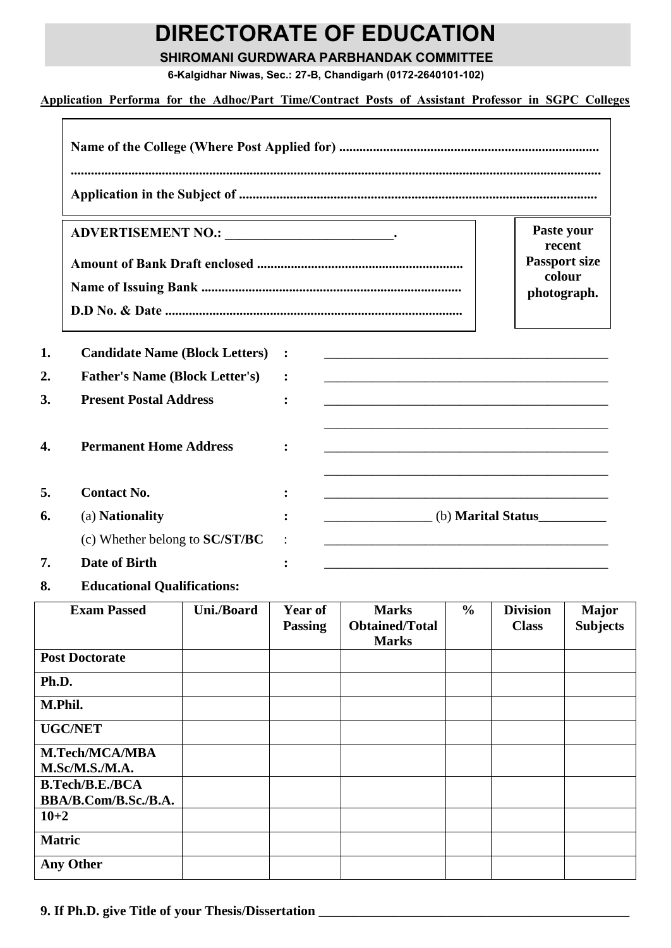## **DIRECTORATE OF EDUCATION**

**SHIROMANI GURDWARA PARBHANDAK COMMITTEE**

**6-Kalgidhar Niwas, Sec.: 27-B, Chandigarh (0172-2640101-102)**

**Application Performa for the Adhoc/Part Time/Contract Posts of Assistant Professor in SGPC Colleges** 

|    |                                         |                                                                                                                                                                                                                               | Paste your<br>recent |  |
|----|-----------------------------------------|-------------------------------------------------------------------------------------------------------------------------------------------------------------------------------------------------------------------------------|----------------------|--|
|    |                                         | <b>Passport size</b>                                                                                                                                                                                                          |                      |  |
|    |                                         | colour<br>photograph.                                                                                                                                                                                                         |                      |  |
|    |                                         |                                                                                                                                                                                                                               |                      |  |
| 1. | <b>Candidate Name (Block Letters) :</b> | and the control of the control of the control of the control of the control of the control of the control of the                                                                                                              |                      |  |
| 2. | <b>Father's Name (Block Letter's)</b>   |                                                                                                                                                                                                                               |                      |  |
| 3. | <b>Present Postal Address</b>           |                                                                                                                                                                                                                               |                      |  |
| 4. | <b>Permanent Home Address</b>           |                                                                                                                                                                                                                               |                      |  |
| 5. | <b>Contact No.</b>                      | the control of the control of the control of the control of the control of the control of the control of the control of the control of the control of the control of the control of the control of the control of the control |                      |  |
| 6. | (a) <b>Nationality</b>                  | (b) Marital Status                                                                                                                                                                                                            |                      |  |
|    | (c) Whether belong to SC/ST/BC          |                                                                                                                                                                                                                               |                      |  |
| 7. | <b>Date of Birth</b>                    |                                                                                                                                                                                                                               |                      |  |

**8. Educational Qualifications:**

| <b>Exam Passed</b>     | Uni./Board | <b>Year of</b><br><b>Passing</b> | <b>Marks</b><br><b>Obtained/Total</b> | $\frac{6}{6}$ | <b>Division</b><br><b>Class</b> | <b>Major</b><br><b>Subjects</b> |
|------------------------|------------|----------------------------------|---------------------------------------|---------------|---------------------------------|---------------------------------|
|                        |            |                                  | <b>Marks</b>                          |               |                                 |                                 |
| <b>Post Doctorate</b>  |            |                                  |                                       |               |                                 |                                 |
| Ph.D.                  |            |                                  |                                       |               |                                 |                                 |
| M.Phil.                |            |                                  |                                       |               |                                 |                                 |
| <b>UGC/NET</b>         |            |                                  |                                       |               |                                 |                                 |
| M.Tech/MCA/MBA         |            |                                  |                                       |               |                                 |                                 |
| M.Sc/M.S./M.A.         |            |                                  |                                       |               |                                 |                                 |
| <b>B.Tech/B.E./BCA</b> |            |                                  |                                       |               |                                 |                                 |
| BBA/B.Com/B.Sc./B.A.   |            |                                  |                                       |               |                                 |                                 |
| $10 + 2$               |            |                                  |                                       |               |                                 |                                 |
| <b>Matric</b>          |            |                                  |                                       |               |                                 |                                 |
| <b>Any Other</b>       |            |                                  |                                       |               |                                 |                                 |